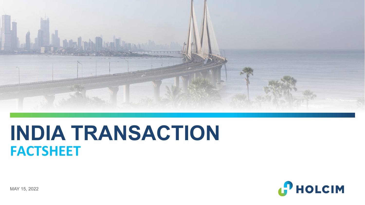

# **INDIA TRANSACTION FACTSHEET**



MAY 15, 2022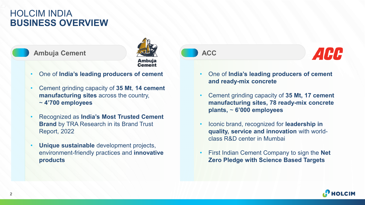## HOLCIM INDIA **BUSINESS OVERVIEW**





- One of **India's leading producers of cement**
- Cement grinding capacity of **35 Mt**, **14 cement manufacturing sites** across the country, ~ **4'700 employees**
- Recognized as **India's Most Trusted Cement Brand** by TRA Research in its Brand Trust Report, 2022
- **Unique sustainable** development projects, environment-friendly practices and **innovative products**





- One of **India's leading producers of cement and ready-mix concrete**
- Cement grinding capacity of **35 Mt, 17 cement manufacturing sites, 78 ready-mix concrete plants,** ~ **6'000 employees**
- Iconic brand, recognized for **leadership in quality, service and innovation** with worldclass R&D center in Mumbai
- First Indian Cement Company to sign the **Net Zero Pledge with Science Based Targets**

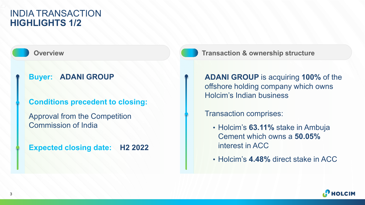### INDIA TRANSACTION **HIGHLIGHTS 1/2**

#### **Buyer: ADANI GROUP**

**Conditions precedent to closing:** 

Approval from the Competition Commission of India

**Expected closing date: H2 2022**



**Overview <b>Transaction & ownership structure** 

**ADANI GROUP** is acquiring **100%** of the offshore holding company which owns Holcim's Indian business

Transaction comprises:

- Holcim's **63.11%** stake in Ambuja Cement which owns a **50.05%**  interest in ACC
- Holcim's **4.48%** direct stake in ACC

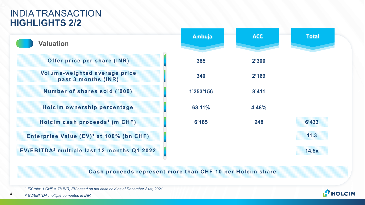### INDIA TRANSACTION **HIGHLIGHTS 2/2**



**Cash proceeds represent more than CHF 10 per Holcim share**

*<sup>1</sup> FX rate: 1 CHF = 78 INR, EV based on net cash held as of December 31st, 2021*

4

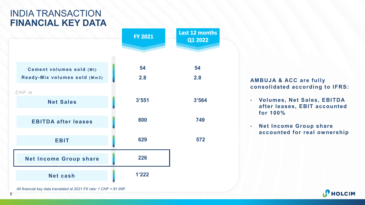# INDIA TRANSACTION **FINANCIAL KEY DATA**

|                                                                   | <b>FY 2021</b> | Last 12 months<br>Q1 2022 |
|-------------------------------------------------------------------|----------------|---------------------------|
| <b>Cement volumes sold (Mt)</b><br>Ready-Mix volumes sold (Mm3)   | 54<br>2.8      | 54<br>2.8                 |
| CHF m<br><b>Net Sales</b>                                         | 3'551          | 3'564                     |
| <b>EBITDA after leases</b>                                        | 800            | 749                       |
| <b>EBIT</b>                                                       | 629            | 572                       |
| <b>Net Income Group share</b>                                     | 226            |                           |
| <b>Net cash</b>                                                   | 1'222          |                           |
| All financial key data translated at 2021 FX rate: 1 CHF = 81 INR |                |                           |

**2.8 AMBUJA & ACC are fully consolidated according to IFRS:**

- **Volumes, Net Sales, EBITDA after leases, EBIT accounted for 100%**
- **Net Income Group share accounted for real ownership**

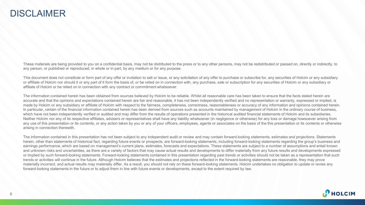#### DISCLAIMER

These materials are being provided to you on a confidential basis, may not be distributed to the press or to any other persons, may not be redistributed or passed on, directly or indirectly, to any person, or published or reproduced, in whole or in part, by any medium or for any purpose.

This document does not constitute or form part of any offer or invitation to sell or issue, or any solicitation of any offer to purchase or subscribe for, any securities of Holcim or any subsidiary or affiliate of Holcim nor should it or any part of it form the basis of, or be relied on in connection with, any purchase, sale or subscription for any securities of Holcim or any subsidiary or affiliate of Holcim or be relied on in connection with any contract or commitment whatsoever.

The information contained herein has been obtained from sources believed by Holcim to be reliable. Whilst all reasonable care has been taken to ensure that the facts stated herein are accurate and that the opinions and expectations contained herein are fair and reasonable, it has not been independently verified and no representation or warranty, expressed or implied, is made by Holcim or any subsidiary or affiliate of Holcim with respect to the fairness, completeness, correctness, reasonableness or accuracy of any information and opinions contained herein. In particular, certain of the financial information contained herein has been derived from sources such as accounts maintained by management of Holcim in the ordinary course of business, which have not been independently verified or audited and may differ from the results of operations presented in the historical audited financial statements of Holcim and its subsidiaries. Neither Holcim nor any of its respective affiliates, advisers or representatives shall have any liability whatsoever (in negligence or otherwise) for any loss or damage howsoever arising from any use of this presentation or its contents, or any action taken by you or any of your officers, employees, agents or associates on the basis of the this presentation or its contents or otherwise arising in connection therewith.

The information contained in this presentation has not been subject to any independent audit or review and may contain forward-looking statements, estimates and projections. Statements herein, other than statements of historical fact, regarding future events or prospects, are forward-looking statements, including forward-looking statements regarding the group's business and earnings performance, which are based on management's current plans, estimates, forecasts and expectations. These statements are subject to a number of assumptions and entail known and unknown risks and uncertainties, as there are a variety of factors that may cause actual results and developments to differ materially from any future results and developments expressed or implied by such forward-looking statements. Forward-looking statements contained in this presentation regarding past trends or activities should not be taken as a representation that such trends or activities will continue in the future. Although Holcim believes that the estimates and projections reflected in the forward-looking statements are reasonable, they may prove materially incorrect, and actual results may materially differ. As a result, you should not rely on these forward-looking statements. Holcim undertakes no obligation to update or revise any forward-looking statements in the future or to adjust them in line with future events or developments, except to the extent required by law.